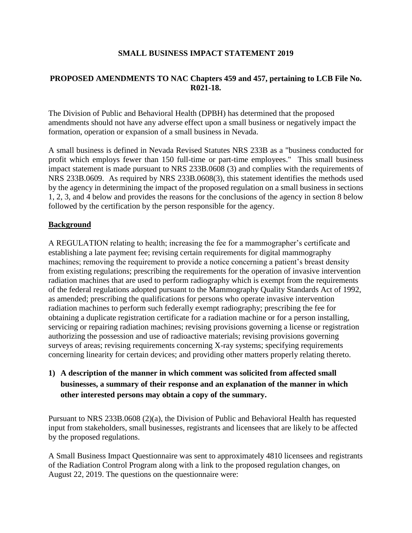## **SMALL BUSINESS IMPACT STATEMENT 2019**

# **PROPOSED AMENDMENTS TO NAC Chapters 459 and 457, pertaining to LCB File No. R021-18.**

The Division of Public and Behavioral Health (DPBH) has determined that the proposed amendments should not have any adverse effect upon a small business or negatively impact the formation, operation or expansion of a small business in Nevada.

A small business is defined in Nevada Revised Statutes NRS 233B as a "business conducted for profit which employs fewer than 150 full-time or part-time employees." This small business impact statement is made pursuant to NRS 233B.0608 (3) and complies with the requirements of NRS 233B.0609. As required by NRS 233B.0608(3), this statement identifies the methods used by the agency in determining the impact of the proposed regulation on a small business in sections 1, 2, 3, and 4 below and provides the reasons for the conclusions of the agency in section 8 below followed by the certification by the person responsible for the agency.

## **Background**

A REGULATION relating to health; increasing the fee for a mammographer's certificate and establishing a late payment fee; revising certain requirements for digital mammography machines; removing the requirement to provide a notice concerning a patient's breast density from existing regulations; prescribing the requirements for the operation of invasive intervention radiation machines that are used to perform radiography which is exempt from the requirements of the federal regulations adopted pursuant to the Mammography Quality Standards Act of 1992, as amended; prescribing the qualifications for persons who operate invasive intervention radiation machines to perform such federally exempt radiography; prescribing the fee for obtaining a duplicate registration certificate for a radiation machine or for a person installing, servicing or repairing radiation machines; revising provisions governing a license or registration authorizing the possession and use of radioactive materials; revising provisions governing surveys of areas; revising requirements concerning X-ray systems; specifying requirements concerning linearity for certain devices; and providing other matters properly relating thereto.

**1) A description of the manner in which comment was solicited from affected small businesses, a summary of their response and an explanation of the manner in which other interested persons may obtain a copy of the summary.**

Pursuant to NRS 233B.0608 (2)(a), the Division of Public and Behavioral Health has requested input from stakeholders, small businesses, registrants and licensees that are likely to be affected by the proposed regulations.

A Small Business Impact Questionnaire was sent to approximately 4810 licensees and registrants of the Radiation Control Program along with a link to the proposed regulation changes, on August 22, 2019. The questions on the questionnaire were: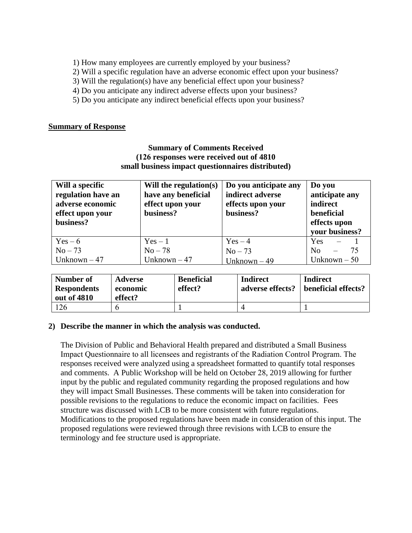- 1) How many employees are currently employed by your business?
- 2) Will a specific regulation have an adverse economic effect upon your business?
- 3) Will the regulation(s) have any beneficial effect upon your business?
- 4) Do you anticipate any indirect adverse effects upon your business?
- 5) Do you anticipate any indirect beneficial effects upon your business?

#### **Summary of Response**

## **Summary of Comments Received (126 responses were received out of 4810 small business impact questionnaires distributed)**

| Will a specific<br>regulation have an<br>adverse economic<br>effect upon your<br>business? | Will the regulation $(s)$<br>have any beneficial<br>effect upon your<br>business? | Do you anticipate any<br>indirect adverse<br>effects upon your<br>business? | Do you<br>anticipate any<br>indirect<br>beneficial<br>effects upon<br>vour business? |
|--------------------------------------------------------------------------------------------|-----------------------------------------------------------------------------------|-----------------------------------------------------------------------------|--------------------------------------------------------------------------------------|
| $Yes - 6$                                                                                  | $Yes-1$                                                                           | $Yes-4$                                                                     | <b>Yes</b>                                                                           |
| $No-73$                                                                                    | $No-78$                                                                           | $No-73$                                                                     | N <sub>0</sub>                                                                       |
| Unknown $-47$                                                                              | Unknown $-47$                                                                     | Unknown $-49$                                                               | Unknown $-50$                                                                        |

| Number of                         | <b>Adverse</b>      | <b>Beneficial</b> | <b>Indirect</b>  | <b>Indirect</b>     |
|-----------------------------------|---------------------|-------------------|------------------|---------------------|
| <b>Respondents</b><br>out of 4810 | economic<br>effect? | effect?           | adverse effects? | beneficial effects? |
| 126                               |                     |                   |                  |                     |

#### **2) Describe the manner in which the analysis was conducted.**

The Division of Public and Behavioral Health prepared and distributed a Small Business Impact Questionnaire to all licensees and registrants of the Radiation Control Program. The responses received were analyzed using a spreadsheet formatted to quantify total responses and comments. A Public Workshop will be held on October 28, 2019 allowing for further input by the public and regulated community regarding the proposed regulations and how they will impact Small Businesses. These comments will be taken into consideration for possible revisions to the regulations to reduce the economic impact on facilities. Fees structure was discussed with LCB to be more consistent with future regulations. Modifications to the proposed regulations have been made in consideration of this input. The proposed regulations were reviewed through three revisions with LCB to ensure the terminology and fee structure used is appropriate.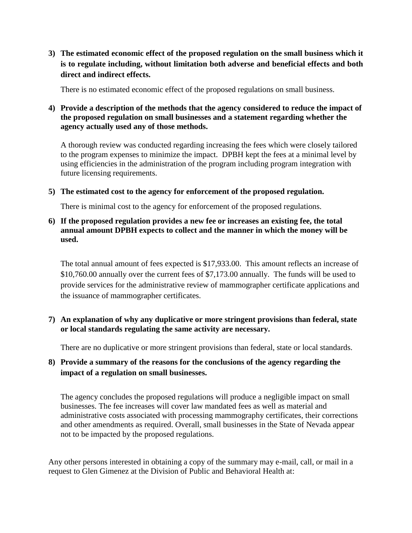**3) The estimated economic effect of the proposed regulation on the small business which it is to regulate including, without limitation both adverse and beneficial effects and both direct and indirect effects.**

There is no estimated economic effect of the proposed regulations on small business.

## **4) Provide a description of the methods that the agency considered to reduce the impact of the proposed regulation on small businesses and a statement regarding whether the agency actually used any of those methods.**

A thorough review was conducted regarding increasing the fees which were closely tailored to the program expenses to minimize the impact. DPBH kept the fees at a minimal level by using efficiencies in the administration of the program including program integration with future licensing requirements.

**5) The estimated cost to the agency for enforcement of the proposed regulation.**

There is minimal cost to the agency for enforcement of the proposed regulations.

**6) If the proposed regulation provides a new fee or increases an existing fee, the total annual amount DPBH expects to collect and the manner in which the money will be used.**

The total annual amount of fees expected is \$17,933.00. This amount reflects an increase of \$10,760.00 annually over the current fees of \$7,173.00 annually. The funds will be used to provide services for the administrative review of mammographer certificate applications and the issuance of mammographer certificates.

# **7) An explanation of why any duplicative or more stringent provisions than federal, state or local standards regulating the same activity are necessary.**

There are no duplicative or more stringent provisions than federal, state or local standards.

# **8) Provide a summary of the reasons for the conclusions of the agency regarding the impact of a regulation on small businesses.**

The agency concludes the proposed regulations will produce a negligible impact on small businesses. The fee increases will cover law mandated fees as well as material and administrative costs associated with processing mammography certificates, their corrections and other amendments as required. Overall, small businesses in the State of Nevada appear not to be impacted by the proposed regulations.

Any other persons interested in obtaining a copy of the summary may e-mail, call, or mail in a request to Glen Gimenez at the Division of Public and Behavioral Health at: